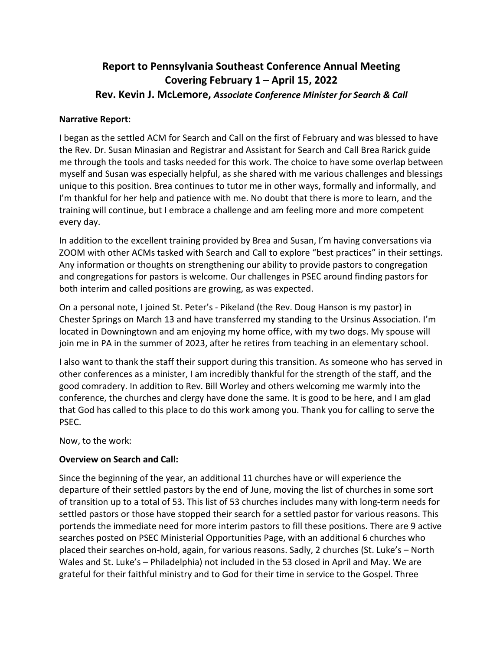# **Report to Pennsylvania Southeast Conference Annual Meeting Covering February 1 – April 15, 2022 Rev. Kevin J. McLemore,** *Associate Conference Minister for Search & Call*

#### **Narrative Report:**

I began as the settled ACM for Search and Call on the first of February and was blessed to have the Rev. Dr. Susan Minasian and Registrar and Assistant for Search and Call Brea Rarick guide me through the tools and tasks needed for this work. The choice to have some overlap between myself and Susan was especially helpful, as she shared with me various challenges and blessings unique to this position. Brea continues to tutor me in other ways, formally and informally, and I'm thankful for her help and patience with me. No doubt that there is more to learn, and the training will continue, but I embrace a challenge and am feeling more and more competent every day.

In addition to the excellent training provided by Brea and Susan, I'm having conversations via ZOOM with other ACMs tasked with Search and Call to explore "best practices" in their settings. Any information or thoughts on strengthening our ability to provide pastors to congregation and congregations for pastors is welcome. Our challenges in PSEC around finding pastors for both interim and called positions are growing, as was expected.

On a personal note, I joined St. Peter's - Pikeland (the Rev. Doug Hanson is my pastor) in Chester Springs on March 13 and have transferred my standing to the Ursinus Association. I'm located in Downingtown and am enjoying my home office, with my two dogs. My spouse will join me in PA in the summer of 2023, after he retires from teaching in an elementary school.

I also want to thank the staff their support during this transition. As someone who has served in other conferences as a minister, I am incredibly thankful for the strength of the staff, and the good comradery. In addition to Rev. Bill Worley and others welcoming me warmly into the conference, the churches and clergy have done the same. It is good to be here, and I am glad that God has called to this place to do this work among you. Thank you for calling to serve the PSEC.

Now, to the work:

## **Overview on Search and Call:**

Since the beginning of the year, an additional 11 churches have or will experience the departure of their settled pastors by the end of June, moving the list of churches in some sort of transition up to a total of 53. This list of 53 churches includes many with long-term needs for settled pastors or those have stopped their search for a settled pastor for various reasons. This portends the immediate need for more interim pastors to fill these positions. There are 9 active searches posted on PSEC Ministerial Opportunities Page, with an additional 6 churches who placed their searches on-hold, again, for various reasons. Sadly, 2 churches (St. Luke's – North Wales and St. Luke's – Philadelphia) not included in the 53 closed in April and May. We are grateful for their faithful ministry and to God for their time in service to the Gospel. Three